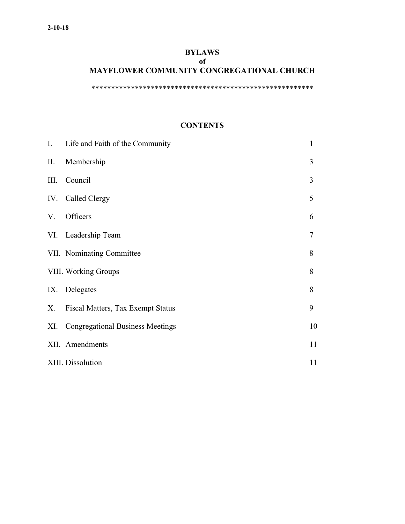# **BYLAWS**

# **of**

# **MAYFLOWER COMMUNITY CONGREGATIONAL CHURCH**

\*\*\*\*\*\*\*\*\*\*\*\*\*\*\*\*\*\*\*\*\*\*\*\*\*\*\*\*\*\*\*\*\*\*\*\*\*\*\*\*\*\*\*\*\*\*\*\*\*\*\*\*\*\*\*\*

#### **CONTENTS**

| $\mathbf{I}$ . | Life and Faith of the Community         | 1              |
|----------------|-----------------------------------------|----------------|
| П.             | Membership                              | $\overline{3}$ |
| III.           | Council                                 | 3              |
|                | IV. Called Clergy                       | 5              |
| V.             | Officers                                | 6              |
|                | VI. Leadership Team                     | $\tau$         |
|                | VII. Nominating Committee               | 8              |
|                | <b>VIII. Working Groups</b>             | 8              |
|                | IX. Delegates                           | 8              |
| Х.             | Fiscal Matters, Tax Exempt Status       | 9              |
| XI.            | <b>Congregational Business Meetings</b> | 10             |
|                | XII. Amendments                         | 11             |
|                | XIII. Dissolution                       | 11             |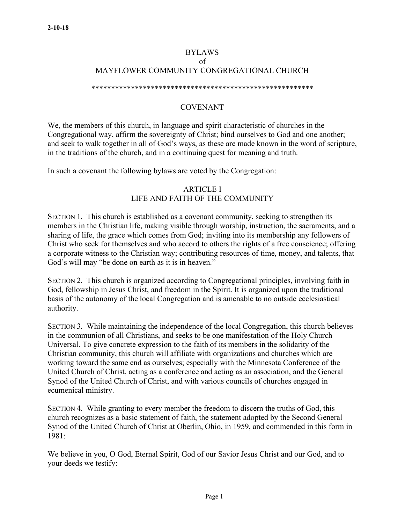### BYLAWS of MAYFLOWER COMMUNITY CONGREGATIONAL CHURCH

#### \*\*\*\*\*\*\*\*\*\*\*\*\*\*\*\*\*\*\*\*\*\*\*\*\*\*\*\*\*\*\*\*\*\*\*\*\*\*\*\*\*\*\*\*\*\*\*\*\*\*\*\*\*\*\*\*

#### COVENANT

We, the members of this church, in language and spirit characteristic of churches in the Congregational way, affirm the sovereignty of Christ; bind ourselves to God and one another; and seek to walk together in all of God's ways, as these are made known in the word of scripture, in the traditions of the church, and in a continuing quest for meaning and truth.

In such a covenant the following bylaws are voted by the Congregation:

#### ARTICLE I LIFE AND FAITH OF THE COMMUNITY

SECTION 1. This church is established as a covenant community, seeking to strengthen its members in the Christian life, making visible through worship, instruction, the sacraments, and a sharing of life, the grace which comes from God; inviting into its membership any followers of Christ who seek for themselves and who accord to others the rights of a free conscience; offering a corporate witness to the Christian way; contributing resources of time, money, and talents, that God's will may "be done on earth as it is in heaven."

SECTION 2. This church is organized according to Congregational principles, involving faith in God, fellowship in Jesus Christ, and freedom in the Spirit. It is organized upon the traditional basis of the autonomy of the local Congregation and is amenable to no outside ecclesiastical authority.

SECTION 3. While maintaining the independence of the local Congregation, this church believes in the communion of all Christians, and seeks to be one manifestation of the Holy Church Universal. To give concrete expression to the faith of its members in the solidarity of the Christian community, this church will affiliate with organizations and churches which are working toward the same end as ourselves; especially with the Minnesota Conference of the United Church of Christ, acting as a conference and acting as an association, and the General Synod of the United Church of Christ, and with various councils of churches engaged in ecumenical ministry.

SECTION 4. While granting to every member the freedom to discern the truths of God, this church recognizes as a basic statement of faith, the statement adopted by the Second General Synod of the United Church of Christ at Oberlin, Ohio, in 1959, and commended in this form in 1981:

We believe in you, O God, Eternal Spirit, God of our Savior Jesus Christ and our God, and to your deeds we testify: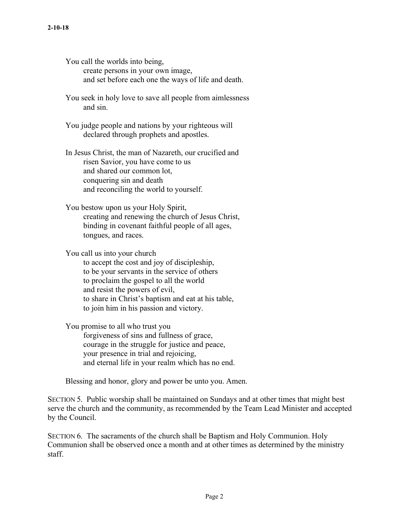You call the worlds into being, create persons in your own image, and set before each one the ways of life and death.

You seek in holy love to save all people from aimlessness and sin.

You judge people and nations by your righteous will declared through prophets and apostles.

In Jesus Christ, the man of Nazareth, our crucified and risen Savior, you have come to us and shared our common lot, conquering sin and death and reconciling the world to yourself.

You bestow upon us your Holy Spirit, creating and renewing the church of Jesus Christ, binding in covenant faithful people of all ages, tongues, and races.

You call us into your church

to accept the cost and joy of discipleship, to be your servants in the service of others to proclaim the gospel to all the world and resist the powers of evil, to share in Christ's baptism and eat at his table, to join him in his passion and victory.

You promise to all who trust you forgiveness of sins and fullness of grace, courage in the struggle for justice and peace, your presence in trial and rejoicing, and eternal life in your realm which has no end.

Blessing and honor, glory and power be unto you. Amen.

SECTION 5. Public worship shall be maintained on Sundays and at other times that might best serve the church and the community, as recommended by the Team Lead Minister and accepted by the Council.

SECTION 6. The sacraments of the church shall be Baptism and Holy Communion. Holy Communion shall be observed once a month and at other times as determined by the ministry staff.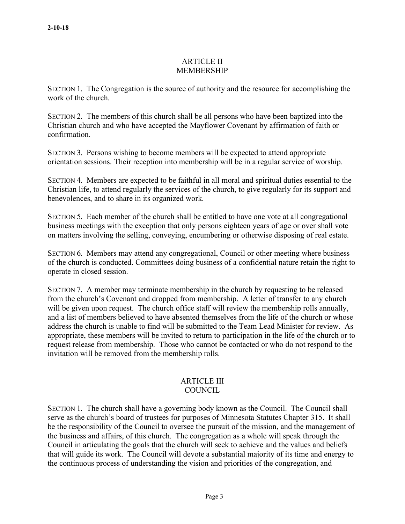# ARTICLE II MEMBERSHIP

SECTION 1. The Congregation is the source of authority and the resource for accomplishing the work of the church.

SECTION 2. The members of this church shall be all persons who have been baptized into the Christian church and who have accepted the Mayflower Covenant by affirmation of faith or confirmation.

SECTION 3. Persons wishing to become members will be expected to attend appropriate orientation sessions. Their reception into membership will be in a regular service of worship*.*

SECTION 4. Members are expected to be faithful in all moral and spiritual duties essential to the Christian life, to attend regularly the services of the church, to give regularly for its support and benevolences, and to share in its organized work.

SECTION 5. Each member of the church shall be entitled to have one vote at all congregational business meetings with the exception that only persons eighteen years of age or over shall vote on matters involving the selling, conveying, encumbering or otherwise disposing of real estate.

SECTION 6. Members may attend any congregational, Council or other meeting where business of the church is conducted. Committees doing business of a confidential nature retain the right to operate in closed session.

SECTION 7. A member may terminate membership in the church by requesting to be released from the church's Covenant and dropped from membership. A letter of transfer to any church will be given upon request. The church office staff will review the membership rolls annually, and a list of members believed to have absented themselves from the life of the church or whose address the church is unable to find will be submitted to the Team Lead Minister for review. As appropriate, these members will be invited to return to participation in the life of the church or to request release from membership. Those who cannot be contacted or who do not respond to the invitation will be removed from the membership rolls.

#### ARTICLE III COUNCIL.

SECTION 1. The church shall have a governing body known as the Council. The Council shall serve as the church's board of trustees for purposes of Minnesota Statutes Chapter 315. It shall be the responsibility of the Council to oversee the pursuit of the mission, and the management of the business and affairs, of this church. The congregation as a whole will speak through the Council in articulating the goals that the church will seek to achieve and the values and beliefs that will guide its work. The Council will devote a substantial majority of its time and energy to the continuous process of understanding the vision and priorities of the congregation, and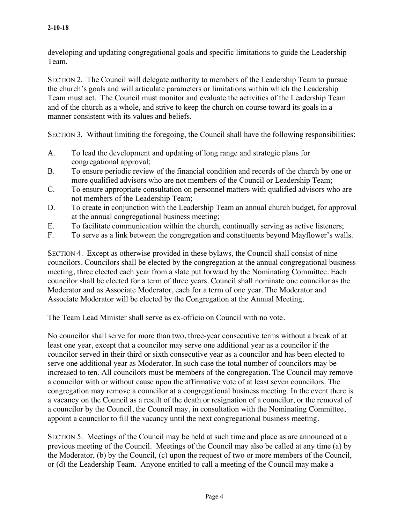developing and updating congregational goals and specific limitations to guide the Leadership Team.

SECTION 2. The Council will delegate authority to members of the Leadership Team to pursue the church's goals and will articulate parameters or limitations within which the Leadership Team must act. The Council must monitor and evaluate the activities of the Leadership Team and of the church as a whole, and strive to keep the church on course toward its goals in a manner consistent with its values and beliefs.

SECTION 3. Without limiting the foregoing, the Council shall have the following responsibilities:

- A. To lead the development and updating of long range and strategic plans for congregational approval;
- B. To ensure periodic review of the financial condition and records of the church by one or more qualified advisors who are not members of the Council or Leadership Team;
- C. To ensure appropriate consultation on personnel matters with qualified advisors who are not members of the Leadership Team;
- D. To create in conjunction with the Leadership Team an annual church budget, for approval at the annual congregational business meeting;
- E. To facilitate communication within the church, continually serving as active listeners;
- F. To serve as a link between the congregation and constituents beyond Mayflower's walls.

SECTION 4. Except as otherwise provided in these bylaws, the Council shall consist of nine councilors. Councilors shall be elected by the congregation at the annual congregational business meeting, three elected each year from a slate put forward by the Nominating Committee. Each councilor shall be elected for a term of three years. Council shall nominate one councilor as the Moderator and as Associate Moderator, each for a term of one year. The Moderator and Associate Moderator will be elected by the Congregation at the Annual Meeting.

The Team Lead Minister shall serve as ex-officio on Council with no vote.

No councilor shall serve for more than two, three-year consecutive terms without a break of at least one year, except that a councilor may serve one additional year as a councilor if the councilor served in their third or sixth consecutive year as a councilor and has been elected to serve one additional year as Moderator. In such case the total number of councilors may be increased to ten. All councilors must be members of the congregation. The Council may remove a councilor with or without cause upon the affirmative vote of at least seven councilors. The congregation may remove a councilor at a congregational business meeting. In the event there is a vacancy on the Council as a result of the death or resignation of a councilor, or the removal of a councilor by the Council, the Council may, in consultation with the Nominating Committee, appoint a councilor to fill the vacancy until the next congregational business meeting.

SECTION 5. Meetings of the Council may be held at such time and place as are announced at a previous meeting of the Council. Meetings of the Council may also be called at any time (a) by the Moderator, (b) by the Council, (c) upon the request of two or more members of the Council, or (d) the Leadership Team. Anyone entitled to call a meeting of the Council may make a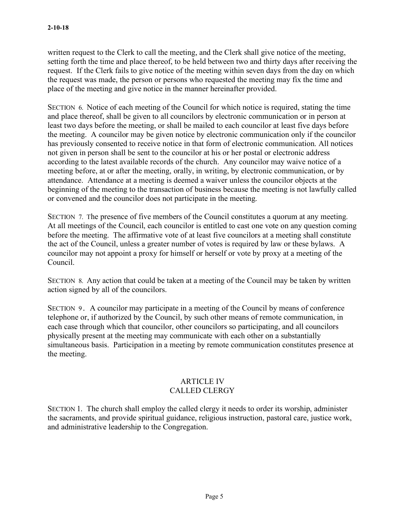written request to the Clerk to call the meeting, and the Clerk shall give notice of the meeting, setting forth the time and place thereof, to be held between two and thirty days after receiving the request. If the Clerk fails to give notice of the meeting within seven days from the day on which the request was made, the person or persons who requested the meeting may fix the time and place of the meeting and give notice in the manner hereinafter provided.

SECTION 6. Notice of each meeting of the Council for which notice is required, stating the time and place thereof, shall be given to all councilors by electronic communication or in person at least two days before the meeting, or shall be mailed to each councilor at least five days before the meeting. A councilor may be given notice by electronic communication only if the councilor has previously consented to receive notice in that form of electronic communication. All notices not given in person shall be sent to the councilor at his or her postal or electronic address according to the latest available records of the church. Any councilor may waive notice of a meeting before, at or after the meeting, orally, in writing, by electronic communication, or by attendance. Attendance at a meeting is deemed a waiver unless the councilor objects at the beginning of the meeting to the transaction of business because the meeting is not lawfully called or convened and the councilor does not participate in the meeting.

SECTION 7. The presence of five members of the Council constitutes a quorum at any meeting. At all meetings of the Council, each councilor is entitled to cast one vote on any question coming before the meeting. The affirmative vote of at least five councilors at a meeting shall constitute the act of the Council, unless a greater number of votes is required by law or these bylaws. A councilor may not appoint a proxy for himself or herself or vote by proxy at a meeting of the Council.

SECTION 8. Any action that could be taken at a meeting of the Council may be taken by written action signed by all of the councilors.

SECTION 9. A councilor may participate in a meeting of the Council by means of conference telephone or, if authorized by the Council, by such other means of remote communication, in each case through which that councilor, other councilors so participating, and all councilors physically present at the meeting may communicate with each other on a substantially simultaneous basis. Participation in a meeting by remote communication constitutes presence at the meeting.

#### ARTICLE IV CALLED CLERGY

SECTION 1. The church shall employ the called clergy it needs to order its worship, administer the sacraments, and provide spiritual guidance, religious instruction, pastoral care, justice work, and administrative leadership to the Congregation.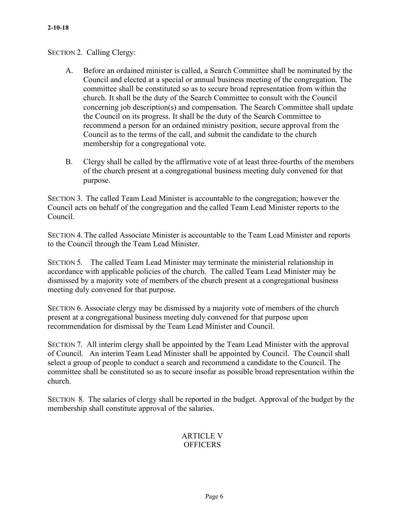### SECTION 2. Calling Clergy:

- A. Before an ordained minister is called, a Search Committee shall be nominated by the Council and elected at a special or annual business meeting of the congregation. The committee shall be constituted so as to secure broad representation from within the church. It shall be the duty of the Search Committee to consult with the Council concerning job description(s) and compensation. The Search Committee shall update the Council on its progress. It shall be the duty of the Search Committee to recommend a person for an ordained ministry position, secure approval from the Council as to the terms of the call, and submit the candidate to the church membership for a congregational vote.
- B. Clergy shall be called by the affirmative vote of at least three-fourths of the members of the church present at a congregational business meeting duly convened for that purpose.

SECTION 3. The called Team Lead Minister is accountable to the congregation; however the Council acts on behalf of the congregation and the called Team Lead Minister reports to the Council.

SECTION 4. The called Associate Minister is accountable to the Team Lead Minister and reports to the Council through the Team Lead Minister.

SECTION 5. The called Team Lead Minister may terminate the ministerial relationship in accordance with applicable policies of the church. The called Team Lead Minister may be dismissed by a majority vote of members of the church present at a congregational business meeting duly convened for that purpose.

SECTION 6. Associate clergy may be dismissed by a majority vote of members of the church present at a congregational business meeting duly convened for that purpose upon recommendation for dismissal by the Team Lead Minister and Council.

SECTION 7. All interim clergy shall be appointed by the Team Lead Minister with the approval of Council. An interim Team Lead Minister shall be appointed by Council. The Council shall select a group of people to conduct a search and recommend a candidate to the Council. The committee shall be constituted so as to secure insofar as possible broad representation within the church.

SECTION 8. The salaries of clergy shall be reported in the budget. Approval of the budget by the membership shall constitute approval of the salaries.

#### ARTICLE V **OFFICERS**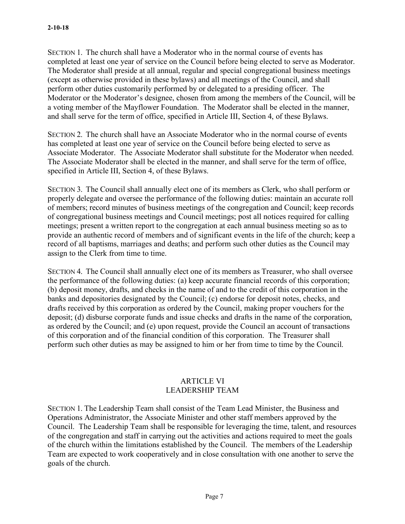SECTION 1. The church shall have a Moderator who in the normal course of events has completed at least one year of service on the Council before being elected to serve as Moderator. The Moderator shall preside at all annual, regular and special congregational business meetings (except as otherwise provided in these bylaws) and all meetings of the Council, and shall perform other duties customarily performed by or delegated to a presiding officer. The Moderator or the Moderator's designee, chosen from among the members of the Council, will be a voting member of the Mayflower Foundation. The Moderator shall be elected in the manner, and shall serve for the term of office, specified in Article III, Section 4, of these Bylaws.

SECTION 2. The church shall have an Associate Moderator who in the normal course of events has completed at least one year of service on the Council before being elected to serve as Associate Moderator. The Associate Moderator shall substitute for the Moderator when needed. The Associate Moderator shall be elected in the manner, and shall serve for the term of office, specified in Article III, Section 4, of these Bylaws.

SECTION 3. The Council shall annually elect one of its members as Clerk, who shall perform or properly delegate and oversee the performance of the following duties: maintain an accurate roll of members; record minutes of business meetings of the congregation and Council; keep records of congregational business meetings and Council meetings; post all notices required for calling meetings; present a written report to the congregation at each annual business meeting so as to provide an authentic record of members and of significant events in the life of the church; keep a record of all baptisms, marriages and deaths; and perform such other duties as the Council may assign to the Clerk from time to time.

SECTION 4. The Council shall annually elect one of its members as Treasurer, who shall oversee the performance of the following duties: (a) keep accurate financial records of this corporation; (b) deposit money, drafts, and checks in the name of and to the credit of this corporation in the banks and depositories designated by the Council; (c) endorse for deposit notes, checks, and drafts received by this corporation as ordered by the Council, making proper vouchers for the deposit; (d) disburse corporate funds and issue checks and drafts in the name of the corporation, as ordered by the Council; and (e) upon request, provide the Council an account of transactions of this corporation and of the financial condition of this corporation. The Treasurer shall perform such other duties as may be assigned to him or her from time to time by the Council.

#### ARTICLE VI LEADERSHIP TEAM

SECTION 1. The Leadership Team shall consist of the Team Lead Minister, the Business and Operations Administrator, the Associate Minister and other staff members approved by the Council. The Leadership Team shall be responsible for leveraging the time, talent, and resources of the congregation and staff in carrying out the activities and actions required to meet the goals of the church within the limitations established by the Council. The members of the Leadership Team are expected to work cooperatively and in close consultation with one another to serve the goals of the church.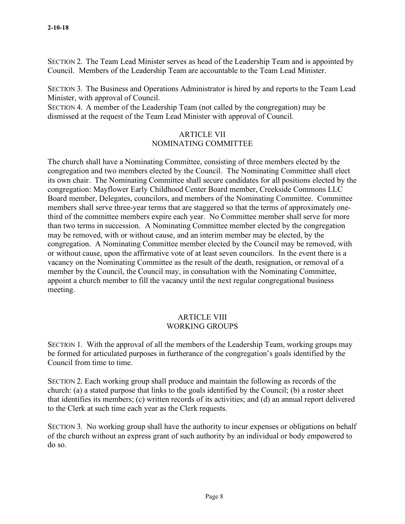SECTION 2. The Team Lead Minister serves as head of the Leadership Team and is appointed by Council. Members of the Leadership Team are accountable to the Team Lead Minister.

SECTION 3. The Business and Operations Administrator is hired by and reports to the Team Lead Minister, with approval of Council.

SECTION 4. A member of the Leadership Team (not called by the congregation) may be dismissed at the request of the Team Lead Minister with approval of Council.

# ARTICLE VII NOMINATING COMMITTEE

The church shall have a Nominating Committee, consisting of three members elected by the congregation and two members elected by the Council. The Nominating Committee shall elect its own chair. The Nominating Committee shall secure candidates for all positions elected by the congregation: Mayflower Early Childhood Center Board member, Creekside Commons LLC Board member, Delegates, councilors, and members of the Nominating Committee. Committee members shall serve three-year terms that are staggered so that the terms of approximately onethird of the committee members expire each year. No Committee member shall serve for more than two terms in succession. A Nominating Committee member elected by the congregation may be removed, with or without cause, and an interim member may be elected, by the congregation. A Nominating Committee member elected by the Council may be removed, with or without cause, upon the affirmative vote of at least seven councilors. In the event there is a vacancy on the Nominating Committee as the result of the death, resignation, or removal of a member by the Council, the Council may, in consultation with the Nominating Committee, appoint a church member to fill the vacancy until the next regular congregational business meeting.

#### ARTICLE VIII WORKING GROUPS

SECTION 1. With the approval of all the members of the Leadership Team, working groups may be formed for articulated purposes in furtherance of the congregation's goals identified by the Council from time to time.

SECTION 2. Each working group shall produce and maintain the following as records of the church: (a) a stated purpose that links to the goals identified by the Council; (b) a roster sheet that identifies its members; (c) written records of its activities; and (d) an annual report delivered to the Clerk at such time each year as the Clerk requests.

SECTION 3. No working group shall have the authority to incur expenses or obligations on behalf of the church without an express grant of such authority by an individual or body empowered to do so.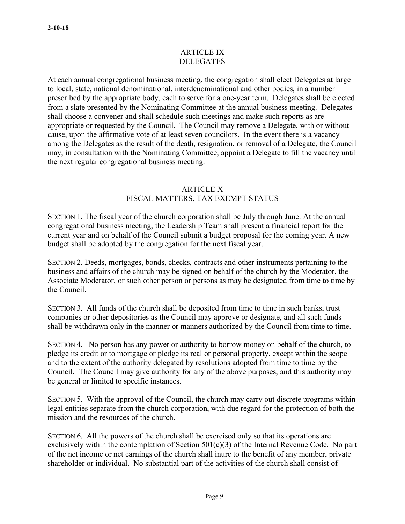### ARTICLE IX **DELEGATES**

At each annual congregational business meeting, the congregation shall elect Delegates at large to local, state, national denominational, interdenominational and other bodies, in a number prescribed by the appropriate body, each to serve for a one-year term. Delegates shall be elected from a slate presented by the Nominating Committee at the annual business meeting. Delegates shall choose a convener and shall schedule such meetings and make such reports as are appropriate or requested by the Council. The Council may remove a Delegate, with or without cause, upon the affirmative vote of at least seven councilors. In the event there is a vacancy among the Delegates as the result of the death, resignation, or removal of a Delegate, the Council may, in consultation with the Nominating Committee, appoint a Delegate to fill the vacancy until the next regular congregational business meeting.

#### ARTICLE X FISCAL MATTERS, TAX EXEMPT STATUS

SECTION 1. The fiscal year of the church corporation shall be July through June. At the annual congregational business meeting, the Leadership Team shall present a financial report for the current year and on behalf of the Council submit a budget proposal for the coming year. A new budget shall be adopted by the congregation for the next fiscal year.

SECTION 2. Deeds, mortgages, bonds, checks, contracts and other instruments pertaining to the business and affairs of the church may be signed on behalf of the church by the Moderator, the Associate Moderator, or such other person or persons as may be designated from time to time by the Council.

SECTION 3. All funds of the church shall be deposited from time to time in such banks, trust companies or other depositories as the Council may approve or designate, and all such funds shall be withdrawn only in the manner or manners authorized by the Council from time to time.

SECTION 4. No person has any power or authority to borrow money on behalf of the church, to pledge its credit or to mortgage or pledge its real or personal property, except within the scope and to the extent of the authority delegated by resolutions adopted from time to time by the Council. The Council may give authority for any of the above purposes, and this authority may be general or limited to specific instances.

SECTION 5. With the approval of the Council, the church may carry out discrete programs within legal entities separate from the church corporation, with due regard for the protection of both the mission and the resources of the church.

SECTION 6. All the powers of the church shall be exercised only so that its operations are exclusively within the contemplation of Section 501(c)(3) of the Internal Revenue Code. No part of the net income or net earnings of the church shall inure to the benefit of any member, private shareholder or individual. No substantial part of the activities of the church shall consist of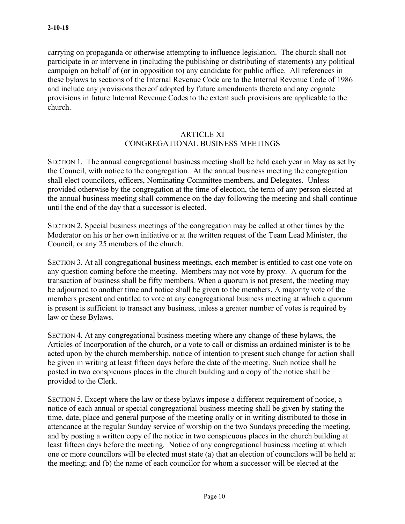carrying on propaganda or otherwise attempting to influence legislation. The church shall not participate in or intervene in (including the publishing or distributing of statements) any political campaign on behalf of (or in opposition to) any candidate for public office. All references in these bylaws to sections of the Internal Revenue Code are to the Internal Revenue Code of 1986 and include any provisions thereof adopted by future amendments thereto and any cognate provisions in future Internal Revenue Codes to the extent such provisions are applicable to the church.

### ARTICLE XI CONGREGATIONAL BUSINESS MEETINGS

SECTION 1. The annual congregational business meeting shall be held each year in May as set by the Council, with notice to the congregation. At the annual business meeting the congregation shall elect councilors, officers, Nominating Committee members, and Delegates. Unless provided otherwise by the congregation at the time of election, the term of any person elected at the annual business meeting shall commence on the day following the meeting and shall continue until the end of the day that a successor is elected.

SECTION 2. Special business meetings of the congregation may be called at other times by the Moderator on his or her own initiative or at the written request of the Team Lead Minister, the Council, or any 25 members of the church.

SECTION 3. At all congregational business meetings, each member is entitled to cast one vote on any question coming before the meeting. Members may not vote by proxy. A quorum for the transaction of business shall be fifty members. When a quorum is not present, the meeting may be adjourned to another time and notice shall be given to the members. A majority vote of the members present and entitled to vote at any congregational business meeting at which a quorum is present is sufficient to transact any business, unless a greater number of votes is required by law or these Bylaws.

SECTION 4. At any congregational business meeting where any change of these bylaws, the Articles of Incorporation of the church, or a vote to call or dismiss an ordained minister is to be acted upon by the church membership, notice of intention to present such change for action shall be given in writing at least fifteen days before the date of the meeting. Such notice shall be posted in two conspicuous places in the church building and a copy of the notice shall be provided to the Clerk.

SECTION 5. Except where the law or these bylaws impose a different requirement of notice, a notice of each annual or special congregational business meeting shall be given by stating the time, date, place and general purpose of the meeting orally or in writing distributed to those in attendance at the regular Sunday service of worship on the two Sundays preceding the meeting, and by posting a written copy of the notice in two conspicuous places in the church building at least fifteen days before the meeting. Notice of any congregational business meeting at which one or more councilors will be elected must state (a) that an election of councilors will be held at the meeting; and (b) the name of each councilor for whom a successor will be elected at the